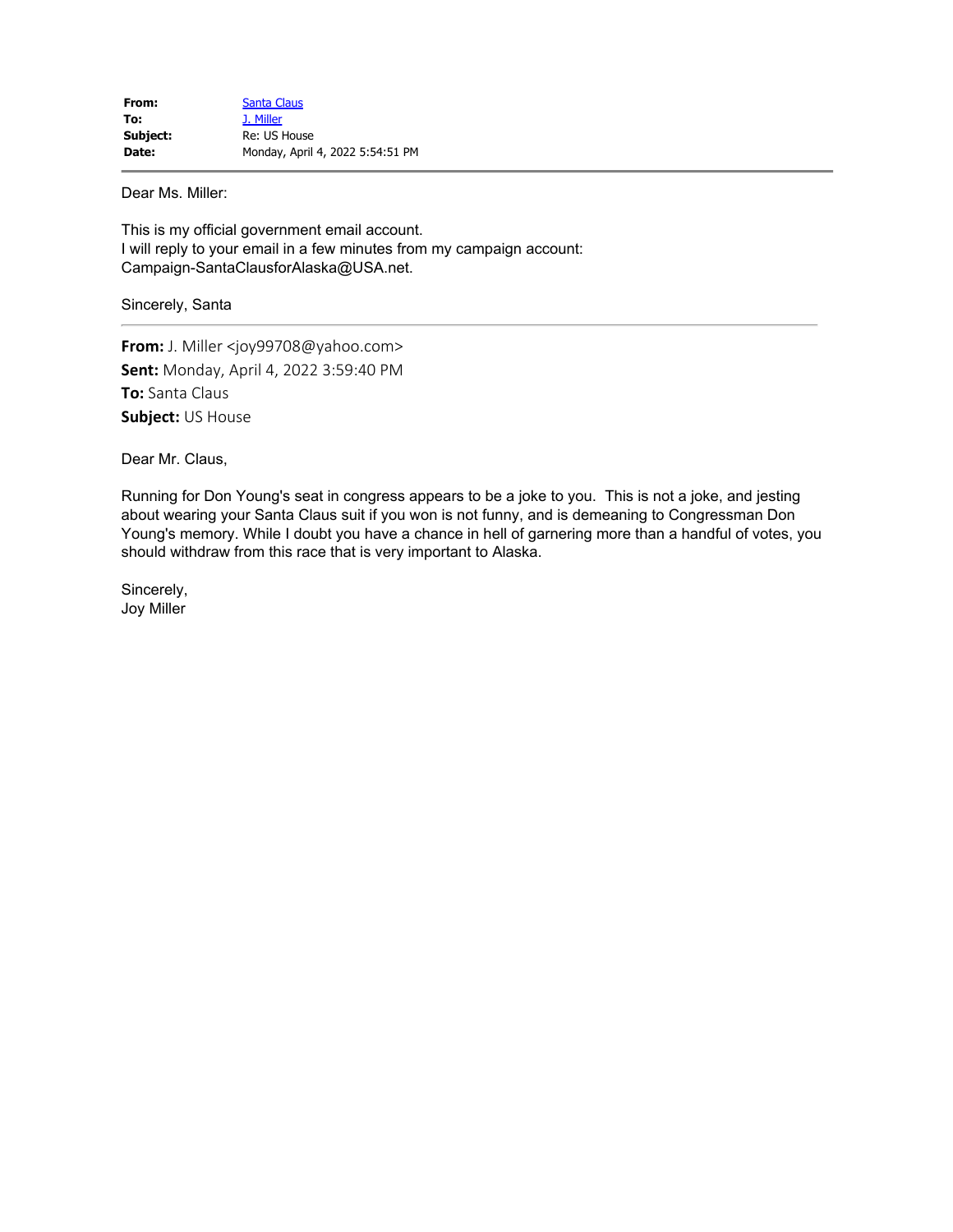Dear Ms. Miller:

This is my official government email account. I will reply to your email in a few minutes from my campaign account: Campaign-SantaClausforAlaska@USA.net.

Sincerely, Santa

**From:** J. Miller <joy99708@yahoo.com> **Sent:** Monday, April 4, 2022 3:59:40 PM **To:** Santa Claus **Subject:** US House

Dear Mr. Claus,

Running for Don Young's seat in congress appears to be a joke to you. This is not a joke, and jesting about wearing your Santa Claus suit if you won is not funny, and is demeaning to Congressman Don Young's memory. While I doubt you have a chance in hell of garnering more than a handful of votes, you should withdraw from this race that is very important to Alaska.

Sincerely, Joy Miller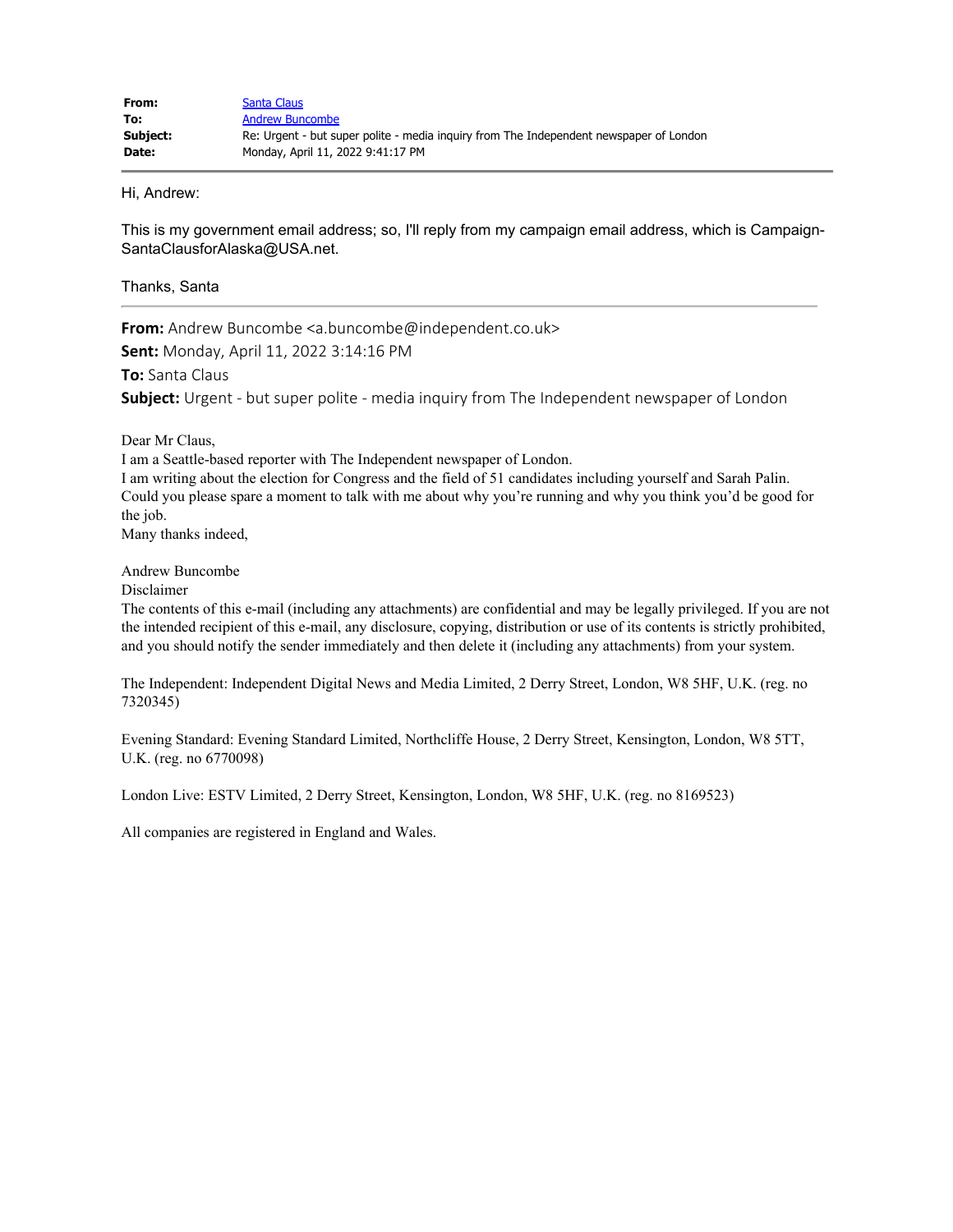Hi, Andrew:

This is my government email address; so, I'll reply from my campaign email address, which is Campaign-SantaClausforAlaska@USA.net.

## Thanks, Santa

**From:** Andrew Buncombe <a.buncombe@independent.co.uk>

**Sent:** Monday, April 11, 2022 3:14:16 PM

**To:** Santa Claus

**Subject:** Urgent - but super polite - media inquiry from The Independent newspaper of London

Dear Mr Claus,

I am a Seattle-based reporter with The Independent newspaper of London.

I am writing about the election for Congress and the field of 51 candidates including yourself and Sarah Palin. Could you please spare a moment to talk with me about why you're running and why you think you'd be good for the job.

Many thanks indeed,

Andrew Buncombe

Disclaimer

The contents of this e-mail (including any attachments) are confidential and may be legally privileged. If you are not the intended recipient of this e-mail, any disclosure, copying, distribution or use of its contents is strictly prohibited, and you should notify the sender immediately and then delete it (including any attachments) from your system.

The Independent: Independent Digital News and Media Limited, 2 Derry Street, London, W8 5HF, U.K. (reg. no 7320345)

Evening Standard: Evening Standard Limited, Northcliffe House, 2 Derry Street, Kensington, London, W8 5TT, U.K. (reg. no 6770098)

London Live: ESTV Limited, 2 Derry Street, Kensington, London, W8 5HF, U.K. (reg. no 8169523)

All companies are registered in England and Wales.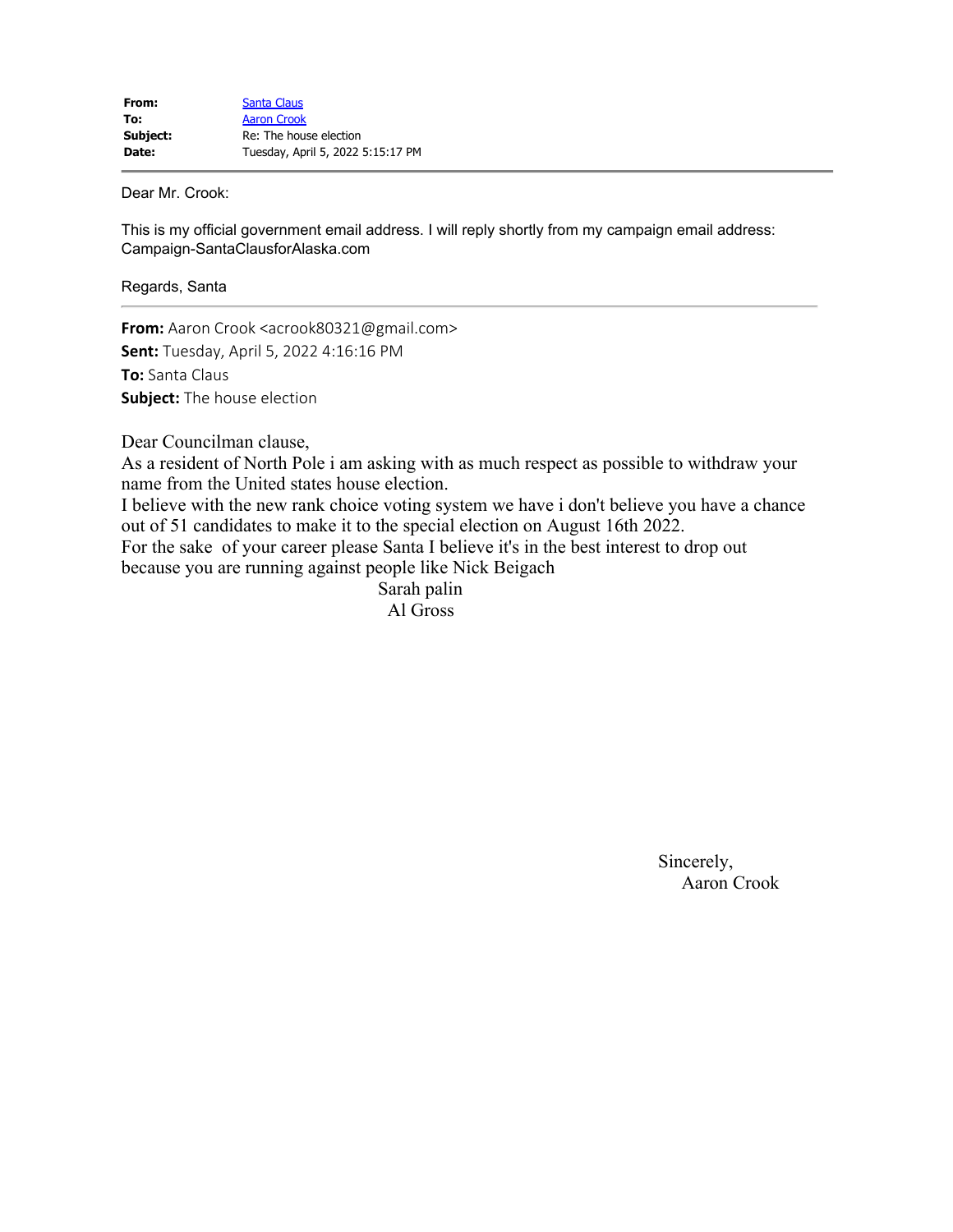Dear Mr. Crook:

This is my official government email address. I will reply shortly from my campaign email address: Campaign-SantaClausforAlaska.com

Regards, Santa

**From:** Aaron Crook <acrook80321@gmail.com> **Sent:** Tuesday, April 5, 2022 4:16:16 PM **To:** Santa Claus **Subject:** The house election

Dear Councilman clause,

As a resident of North Pole i am asking with as much respect as possible to withdraw your name from the United states house election.

I believe with the new rank choice voting system we have i don't believe you have a chance out of 51 candidates to make it to the special election on August 16th 2022.

For the sake of your career please Santa I believe it's in the best interest to drop out because you are running against people like Nick Beigach

> Sarah palin Al Gross

> > Sincerely, Aaron Crook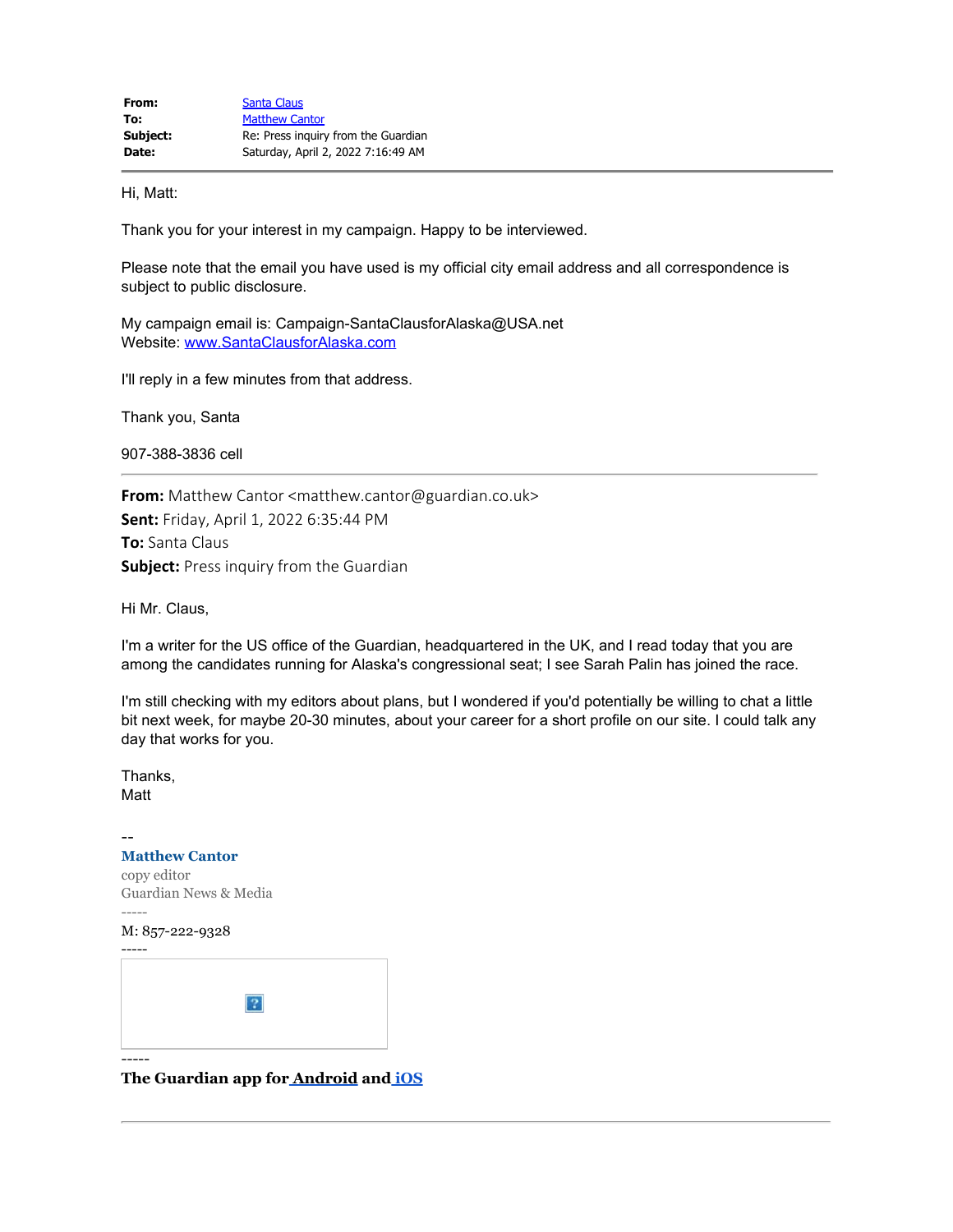Hi, Matt:

Thank you for your interest in my campaign. Happy to be interviewed.

Please note that the email you have used is my official city email address and all correspondence is subject to public disclosure.

My campaign email is: Campaign-SantaClausforAlaska@USA.net Website: www.SantaClausforAlaska.com

I'll reply in a few minutes from that address.

Thank you, Santa

907-388-3836 cell

**From:** Matthew Cantor <matthew.cantor@guardian.co.uk> **Sent:** Friday, April 1, 2022 6:35:44 PM **To:** Santa Claus **Subject:** Press inquiry from the Guardian

Hi Mr. Claus,

I'm a writer for the US office of the Guardian, headquartered in the UK, and I read today that you are among the candidates running for Alaska's congressional seat; I see Sarah Palin has joined the race.

I'm still checking with my editors about plans, but I wondered if you'd potentially be willing to chat a little bit next week, for maybe 20-30 minutes, about your career for a short profile on our site. I could talk any day that works for you.

Thanks, Matt

## -- **Matthew Cantor** copy editor Guardian News & Media ----- M: 857-222-9328 -----  $|2|$ -----

**The Guardian app for Android and iOS**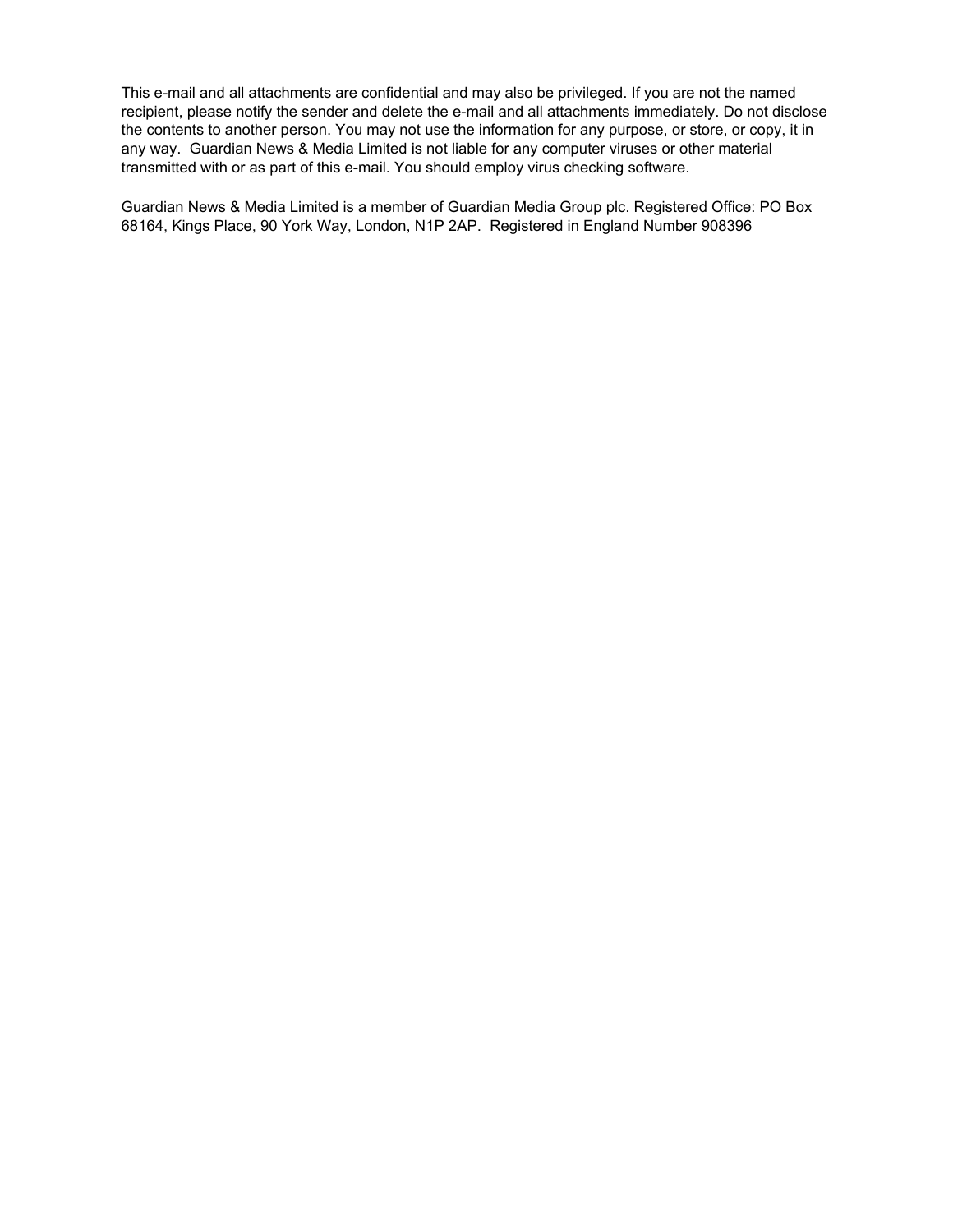This e-mail and all attachments are confidential and may also be privileged. If you are not the named recipient, please notify the sender and delete the e-mail and all attachments immediately. Do not disclose the contents to another person. You may not use the information for any purpose, or store, or copy, it in any way. Guardian News & Media Limited is not liable for any computer viruses or other material transmitted with or as part of this e-mail. You should employ virus checking software.

Guardian News & Media Limited is a member of Guardian Media Group plc. Registered Office: PO Box 68164, Kings Place, 90 York Way, London, N1P 2AP. Registered in England Number 908396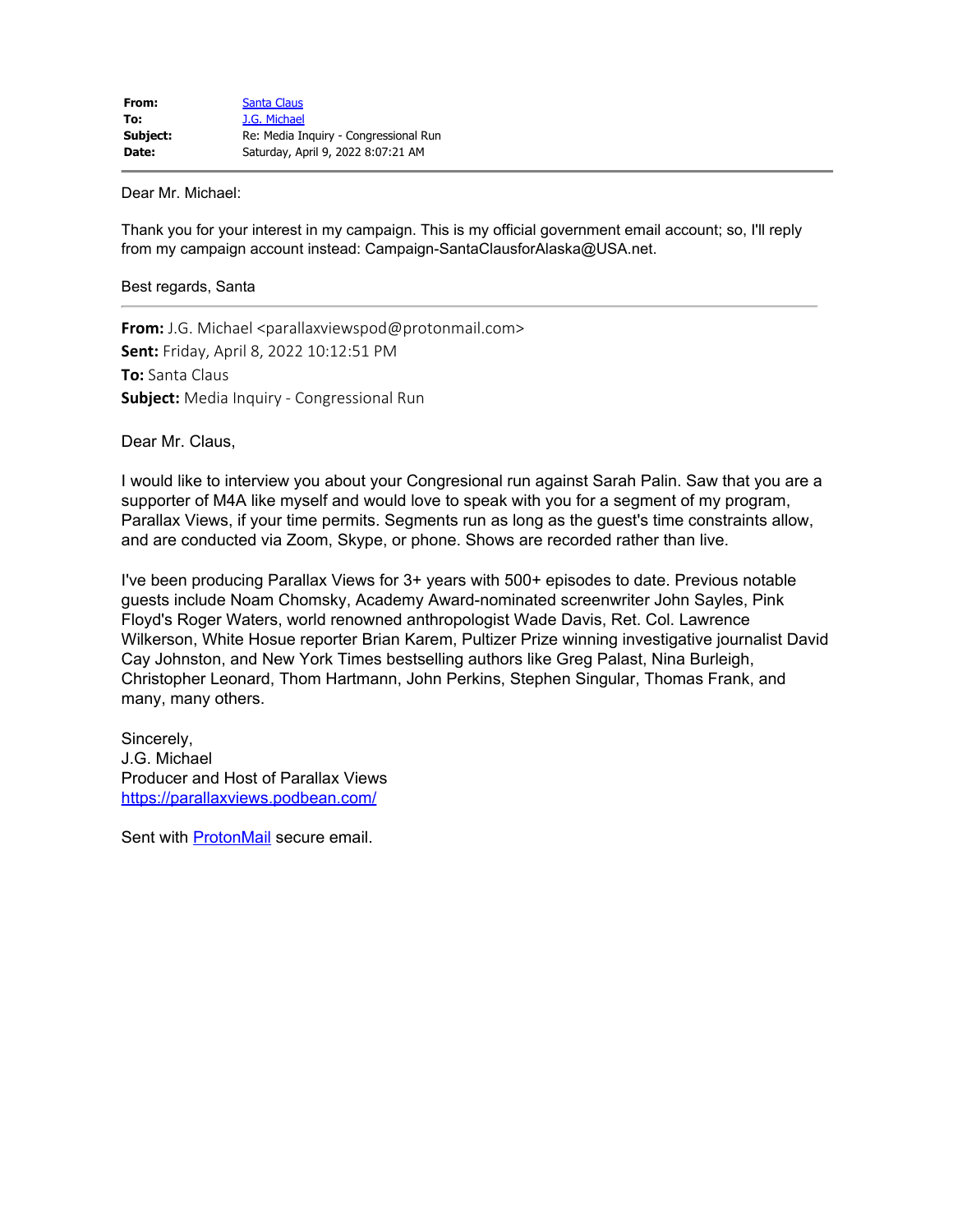Dear Mr. Michael:

Thank you for your interest in my campaign. This is my official government email account; so, I'll reply from my campaign account instead: Campaign-SantaClausforAlaska@USA.net.

## Best regards, Santa

**From:** J.G. Michael <parallaxviewspod@protonmail.com> **Sent:** Friday, April 8, 2022 10:12:51 PM **To:** Santa Claus **Subject:** Media Inquiry - Congressional Run

Dear Mr. Claus,

I would like to interview you about your Congresional run against Sarah Palin. Saw that you are a supporter of M4A like myself and would love to speak with you for a segment of my program, Parallax Views, if your time permits. Segments run as long as the guest's time constraints allow, and are conducted via Zoom, Skype, or phone. Shows are recorded rather than live.

I've been producing Parallax Views for 3+ years with 500+ episodes to date. Previous notable guests include Noam Chomsky, Academy Award-nominated screenwriter John Sayles, Pink Floyd's Roger Waters, world renowned anthropologist Wade Davis, Ret. Col. Lawrence Wilkerson, White Hosue reporter Brian Karem, Pultizer Prize winning investigative journalist David Cay Johnston, and New York Times bestselling authors like Greg Palast, Nina Burleigh, Christopher Leonard, Thom Hartmann, John Perkins, Stephen Singular, Thomas Frank, and many, many others.

Sincerely, J.G. Michael Producer and Host of Parallax Views https://parallaxviews.podbean.com/

Sent with **ProtonMail** secure email.